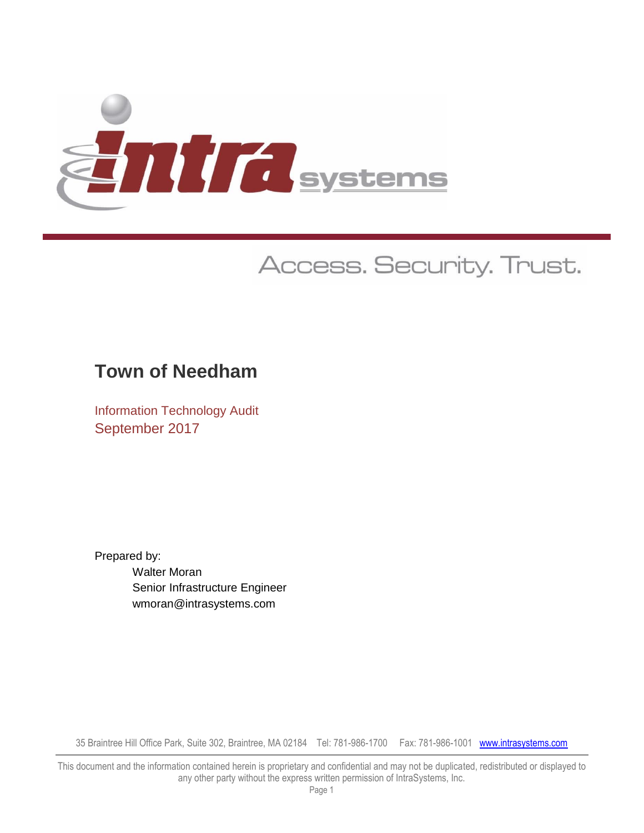

# Access. Security. Trust.

## **Town of Needham**

Information Technology Audit September 2017

Prepared by: Walter Moran Senior Infrastructure Engineer wmoran@intrasystems.com

35 Braintree Hill Office Park, Suite 302, Braintree, MA 02184 Tel: 781-986-1700 Fax: 781-986-1001 www.intrasystems.com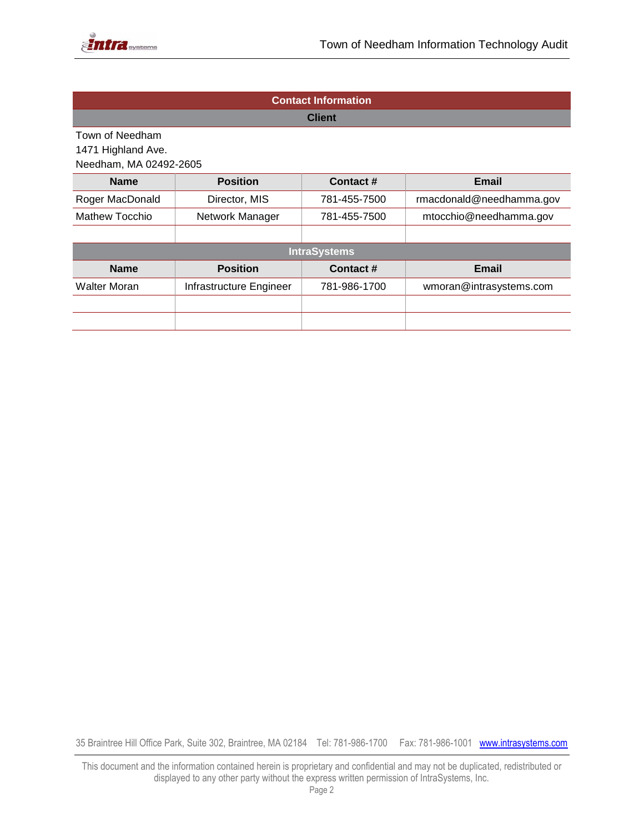

| <b>Contact Information</b> |                                                           |               |                          |  |  |  |
|----------------------------|-----------------------------------------------------------|---------------|--------------------------|--|--|--|
|                            |                                                           | <b>Client</b> |                          |  |  |  |
| Town of Needham            |                                                           |               |                          |  |  |  |
| 1471 Highland Ave.         |                                                           |               |                          |  |  |  |
| Needham, MA 02492-2605     |                                                           |               |                          |  |  |  |
| <b>Name</b>                | <b>Position</b>                                           | Contact#      | Email                    |  |  |  |
| Roger MacDonald            | Director, MIS                                             | 781-455-7500  | rmacdonald@needhamma.gov |  |  |  |
| Mathew Tocchio             | Network Manager<br>mtocchio@needhamma.gov<br>781-455-7500 |               |                          |  |  |  |
|                            |                                                           |               |                          |  |  |  |
|                            | <b>IntraSystems</b>                                       |               |                          |  |  |  |
| <b>Name</b>                | <b>Position</b>                                           | Contact#      | Email                    |  |  |  |
| Walter Moran               | Infrastructure Engineer                                   | 781-986-1700  | wmoran@intrasystems.com  |  |  |  |
|                            |                                                           |               |                          |  |  |  |
|                            |                                                           |               |                          |  |  |  |

35 Braintree Hill Office Park, Suite 302, Braintree, MA 02184 Tel: 781-986-1700 Fax: 781-986-1001 www.intrasystems.com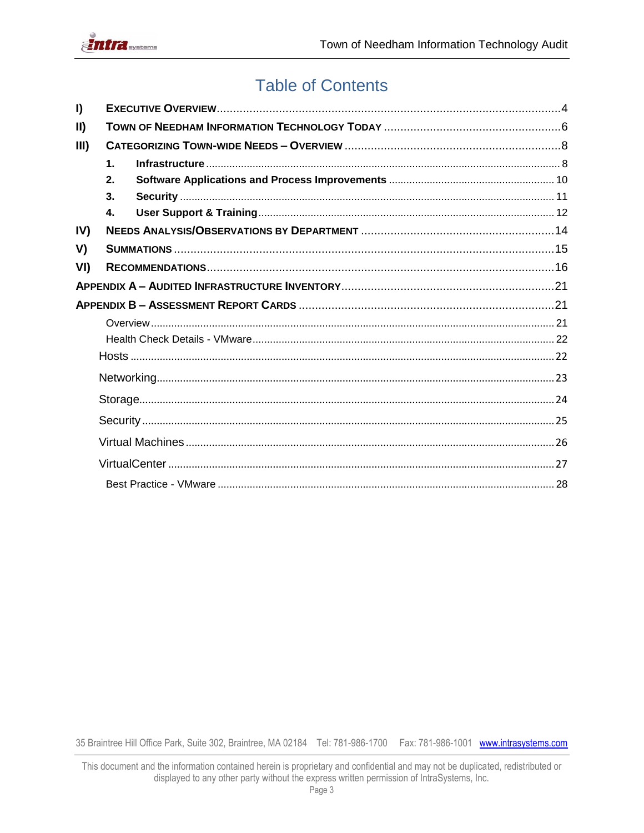

## **Table of Contents**

| I)            |                |  |
|---------------|----------------|--|
| $\mathbf{II}$ |                |  |
| III)          |                |  |
|               | $\mathbf 1$ .  |  |
|               | 2.             |  |
|               | 3 <sub>1</sub> |  |
|               | $\mathbf{4}$   |  |
| IV)           |                |  |
| V)            |                |  |
| VI)           |                |  |
|               |                |  |
|               |                |  |
|               |                |  |
|               |                |  |
|               |                |  |
|               |                |  |
|               |                |  |
|               |                |  |
|               |                |  |
|               |                |  |
|               |                |  |

This document and the information contained herein is proprietary and confidential and may not be duplicated, redistributed or displayed to any other party without the express written permission of IntraSystems, Inc.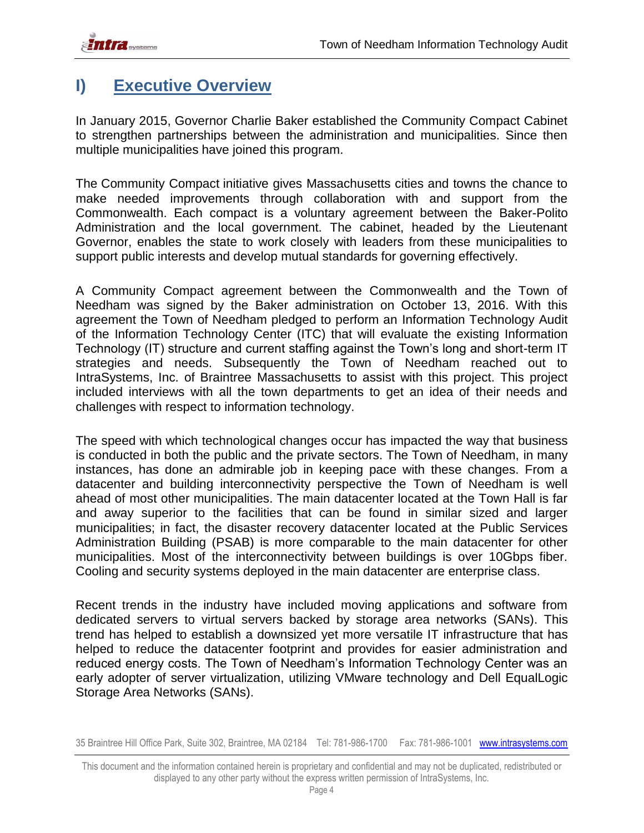## <span id="page-3-0"></span>**I) Executive Overview**

In January 2015, Governor Charlie Baker established the Community Compact Cabinet to strengthen partnerships between the administration and municipalities. Since then multiple municipalities have joined this program.

The [Community Compact](http://www.mass.gov/governor/administration/groups/communitycompactcabinet/faq/) initiative gives Massachusetts cities and towns the chance to make needed improvements through collaboration with and support from the Commonwealth. Each compact is a voluntary agreement between the Baker-Polito Administration and the local government. The cabinet, headed by the Lieutenant Governor, enables the state to work closely with leaders from these municipalities to support public interests and develop mutual standards for governing effectively.

A Community Compact agreement between the Commonwealth and the Town of Needham was signed by the Baker administration on October 13, 2016. With this agreement the Town of Needham pledged to perform an Information Technology Audit of the Information Technology Center (ITC) that will evaluate the existing Information Technology (IT) structure and current staffing against the Town's long and short-term IT strategies and needs. Subsequently the Town of Needham reached out to IntraSystems, Inc. of Braintree Massachusetts to assist with this project. This project included interviews with all the town departments to get an idea of their needs and challenges with respect to information technology.

The speed with which technological changes occur has impacted the way that business is conducted in both the public and the private sectors. The Town of Needham, in many instances, has done an admirable job in keeping pace with these changes. From a datacenter and building interconnectivity perspective the Town of Needham is well ahead of most other municipalities. The main datacenter located at the Town Hall is far and away superior to the facilities that can be found in similar sized and larger municipalities; in fact, the disaster recovery datacenter located at the Public Services Administration Building (PSAB) is more comparable to the main datacenter for other municipalities. Most of the interconnectivity between buildings is over 10Gbps fiber. Cooling and security systems deployed in the main datacenter are enterprise class.

Recent trends in the industry have included moving applications and software from dedicated servers to virtual servers backed by storage area networks (SANs). This trend has helped to establish a downsized yet more versatile IT infrastructure that has helped to reduce the datacenter footprint and provides for easier administration and reduced energy costs. The Town of Needham's Information Technology Center was an early adopter of server virtualization, utilizing VMware technology and Dell EqualLogic Storage Area Networks (SANs).

This document and the information contained herein is proprietary and confidential and may not be duplicated, redistributed or displayed to any other party without the express written permission of IntraSystems, Inc.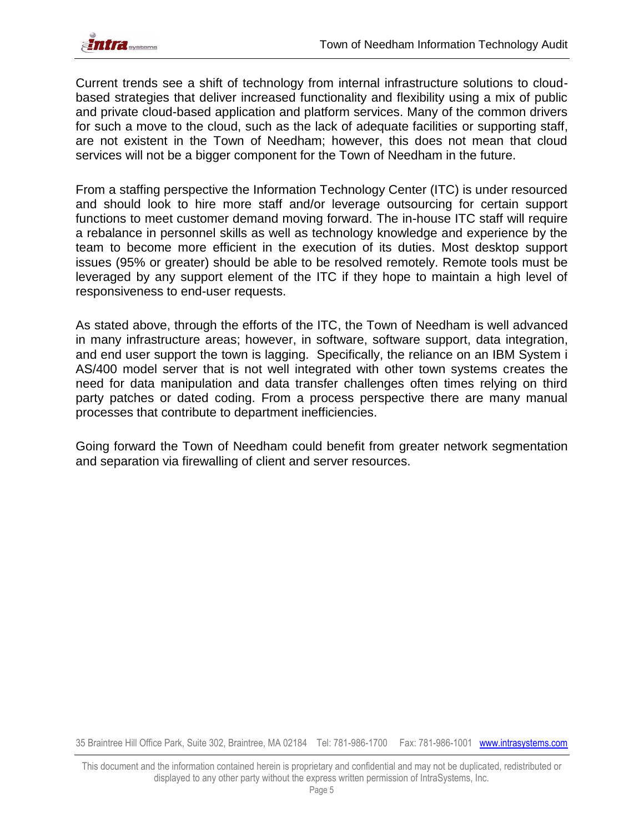Current trends see a shift of technology from internal infrastructure solutions to cloudbased strategies that deliver increased functionality and flexibility using a mix of public and private cloud-based application and platform services. Many of the common drivers for such a move to the cloud, such as the lack of adequate facilities or supporting staff, are not existent in the Town of Needham; however, this does not mean that cloud services will not be a bigger component for the Town of Needham in the future.

From a staffing perspective the Information Technology Center (ITC) is under resourced and should look to hire more staff and/or leverage outsourcing for certain support functions to meet customer demand moving forward. The in-house ITC staff will require a rebalance in personnel skills as well as technology knowledge and experience by the team to become more efficient in the execution of its duties. Most desktop support issues (95% or greater) should be able to be resolved remotely. Remote tools must be leveraged by any support element of the ITC if they hope to maintain a high level of responsiveness to end-user requests.

As stated above, through the efforts of the ITC, the Town of Needham is well advanced in many infrastructure areas; however, in software, software support, data integration, and end user support the town is lagging. Specifically, the reliance on an IBM System i AS/400 model server that is not well integrated with other town systems creates the need for data manipulation and data transfer challenges often times relying on third party patches or dated coding. From a process perspective there are many manual processes that contribute to department inefficiencies.

Going forward the Town of Needham could benefit from greater network segmentation and separation via firewalling of client and server resources.

This document and the information contained herein is proprietary and confidential and may not be duplicated, redistributed or displayed to any other party without the express written permission of IntraSystems, Inc.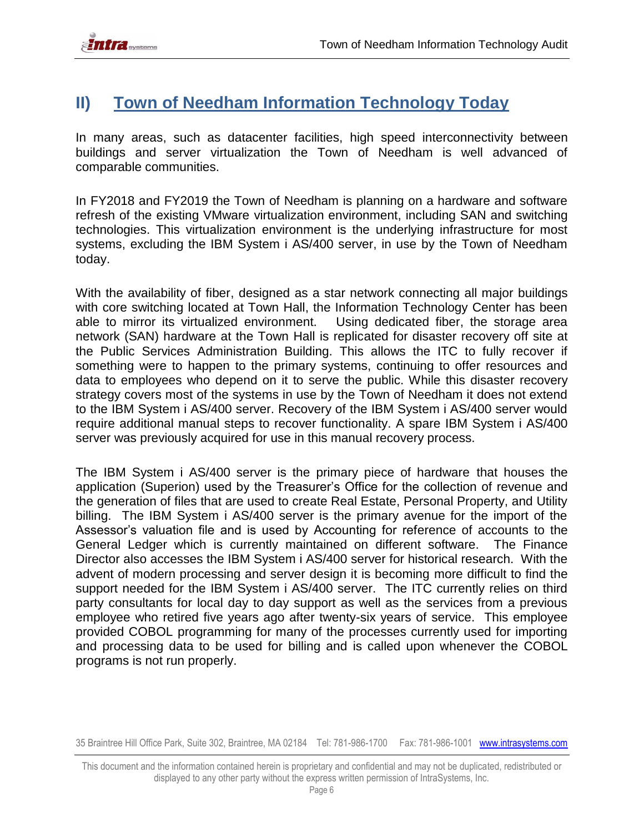## <span id="page-5-0"></span>**II) Town of Needham Information Technology Today**

In many areas, such as datacenter facilities, high speed interconnectivity between buildings and server virtualization the Town of Needham is well advanced of comparable communities.

In FY2018 and FY2019 the Town of Needham is planning on a hardware and software refresh of the existing VMware virtualization environment, including SAN and switching technologies. This virtualization environment is the underlying infrastructure for most systems, excluding the IBM System i AS/400 server, in use by the Town of Needham today.

With the availability of fiber, designed as a star network connecting all major buildings with core switching located at Town Hall, the Information Technology Center has been able to mirror its virtualized environment. Using dedicated fiber, the storage area network (SAN) hardware at the Town Hall is replicated for disaster recovery off site at the Public Services Administration Building. This allows the ITC to fully recover if something were to happen to the primary systems, continuing to offer resources and data to employees who depend on it to serve the public. While this disaster recovery strategy covers most of the systems in use by the Town of Needham it does not extend to the IBM System i AS/400 server. Recovery of the IBM System i AS/400 server would require additional manual steps to recover functionality. A spare IBM System i AS/400 server was previously acquired for use in this manual recovery process.

The IBM System i AS/400 server is the primary piece of hardware that houses the application (Superion) used by the Treasurer's Office for the collection of revenue and the generation of files that are used to create Real Estate, Personal Property, and Utility billing. The IBM System i AS/400 server is the primary avenue for the import of the Assessor's valuation file and is used by Accounting for reference of accounts to the General Ledger which is currently maintained on different software. The Finance Director also accesses the IBM System i AS/400 server for historical research. With the advent of modern processing and server design it is becoming more difficult to find the support needed for the IBM System i AS/400 server. The ITC currently relies on third party consultants for local day to day support as well as the services from a previous employee who retired five years ago after twenty-six years of service. This employee provided COBOL programming for many of the processes currently used for importing and processing data to be used for billing and is called upon whenever the COBOL programs is not run properly.

This document and the information contained herein is proprietary and confidential and may not be duplicated, redistributed or displayed to any other party without the express written permission of IntraSystems, Inc.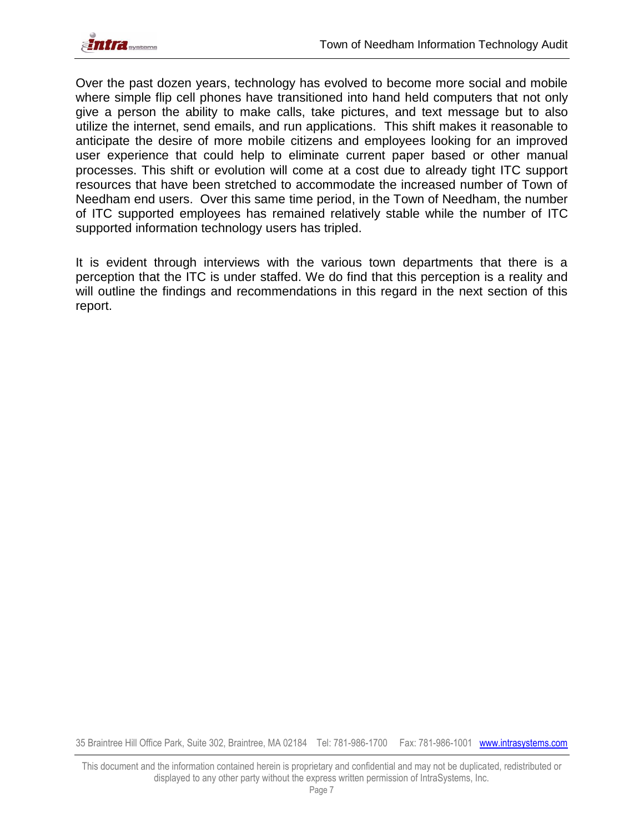

Over the past dozen years, technology has evolved to become more social and mobile where simple flip cell phones have transitioned into hand held computers that not only give a person the ability to make calls, take pictures, and text message but to also utilize the internet, send emails, and run applications. This shift makes it reasonable to anticipate the desire of more mobile citizens and employees looking for an improved user experience that could help to eliminate current paper based or other manual processes. This shift or evolution will come at a cost due to already tight ITC support resources that have been stretched to accommodate the increased number of Town of Needham end users. Over this same time period, in the Town of Needham, the number of ITC supported employees has remained relatively stable while the number of ITC supported information technology users has tripled.

It is evident through interviews with the various town departments that there is a perception that the ITC is under staffed. We do find that this perception is a reality and will outline the findings and recommendations in this regard in the next section of this report.

This document and the information contained herein is proprietary and confidential and may not be duplicated, redistributed or displayed to any other party without the express written permission of IntraSystems, Inc.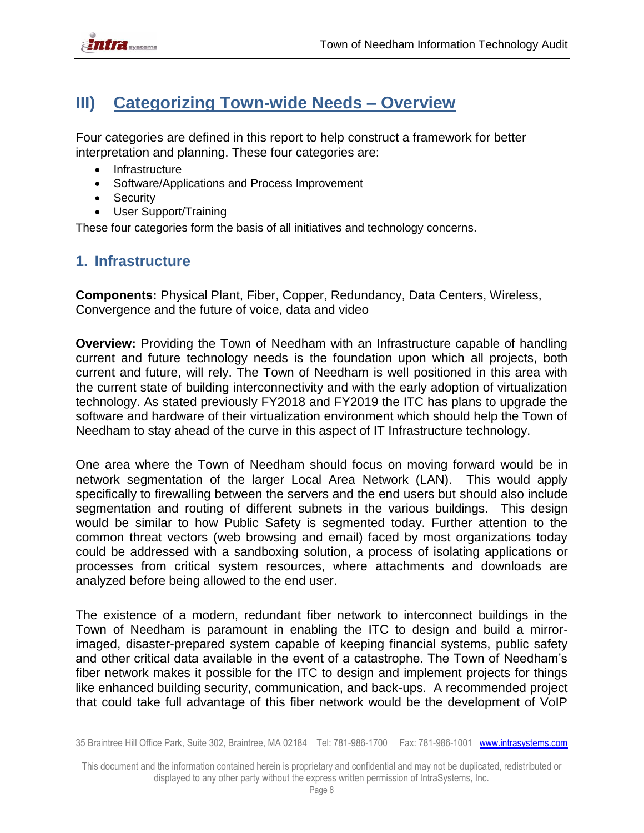

## <span id="page-7-0"></span>**III) Categorizing Town-wide Needs – Overview**

Four categories are defined in this report to help construct a framework for better interpretation and planning. These four categories are:

- Infrastructure
- Software/Applications and Process Improvement
- Security
- User Support/Training

These four categories form the basis of all initiatives and technology concerns.

### <span id="page-7-1"></span>**1. Infrastructure**

**Components:** Physical Plant, Fiber, Copper, Redundancy, Data Centers, Wireless, Convergence and the future of voice, data and video

**Overview:** Providing the Town of Needham with an Infrastructure capable of handling current and future technology needs is the foundation upon which all projects, both current and future, will rely. The Town of Needham is well positioned in this area with the current state of building interconnectivity and with the early adoption of virtualization technology. As stated previously FY2018 and FY2019 the ITC has plans to upgrade the software and hardware of their virtualization environment which should help the Town of Needham to stay ahead of the curve in this aspect of IT Infrastructure technology.

One area where the Town of Needham should focus on moving forward would be in network segmentation of the larger Local Area Network (LAN). This would apply specifically to firewalling between the servers and the end users but should also include segmentation and routing of different subnets in the various buildings. This design would be similar to how Public Safety is segmented today. Further attention to the common threat vectors (web browsing and email) faced by most organizations today could be addressed with a sandboxing solution, a process of isolating applications or processes from critical system resources, where attachments and downloads are analyzed before being allowed to the end user.

The existence of a modern, redundant fiber network to interconnect buildings in the Town of Needham is paramount in enabling the ITC to design and build a mirrorimaged, disaster-prepared system capable of keeping financial systems, public safety and other critical data available in the event of a catastrophe. The Town of Needham's fiber network makes it possible for the ITC to design and implement projects for things like enhanced building security, communication, and back-ups. A recommended project that could take full advantage of this fiber network would be the development of VoIP

This document and the information contained herein is proprietary and confidential and may not be duplicated, redistributed or displayed to any other party without the express written permission of IntraSystems, Inc.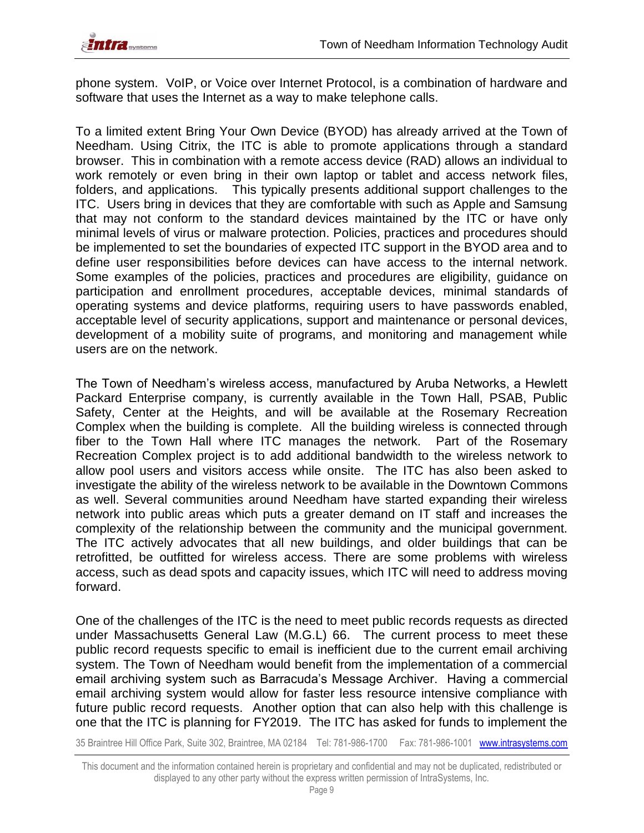

phone system. VoIP, or Voice over Internet Protocol, is a combination of hardware and software that uses the Internet as a way to make telephone calls.

To a limited extent Bring Your Own Device (BYOD) has already arrived at the Town of Needham. Using Citrix, the ITC is able to promote applications through a standard browser. This in combination with a remote access device (RAD) allows an individual to work remotely or even bring in their own laptop or tablet and access network files, folders, and applications. This typically presents additional support challenges to the ITC. Users bring in devices that they are comfortable with such as Apple and Samsung that may not conform to the standard devices maintained by the ITC or have only minimal levels of virus or malware protection. Policies, practices and procedures should be implemented to set the boundaries of expected ITC support in the BYOD area and to define user responsibilities before devices can have access to the internal network. Some examples of the policies, practices and procedures are eligibility, guidance on participation and enrollment procedures, acceptable devices, minimal standards of operating systems and device platforms, requiring users to have passwords enabled, acceptable level of security applications, support and maintenance or personal devices, development of a mobility suite of programs, and monitoring and management while users are on the network.

The Town of Needham's wireless access, manufactured by Aruba Networks, a Hewlett Packard Enterprise company, is currently available in the Town Hall, PSAB, Public Safety, Center at the Heights, and will be available at the Rosemary Recreation Complex when the building is complete. All the building wireless is connected through fiber to the Town Hall where ITC manages the network. Part of the Rosemary Recreation Complex project is to add additional bandwidth to the wireless network to allow pool users and visitors access while onsite. The ITC has also been asked to investigate the ability of the wireless network to be available in the Downtown Commons as well. Several communities around Needham have started expanding their wireless network into public areas which puts a greater demand on IT staff and increases the complexity of the relationship between the community and the municipal government. The ITC actively advocates that all new buildings, and older buildings that can be retrofitted, be outfitted for wireless access. There are some problems with wireless access, such as dead spots and capacity issues, which ITC will need to address moving forward.

One of the challenges of the ITC is the need to meet public records requests as directed under Massachusetts General Law (M.G.L) 66.The current process to meet these public record requests specific to email is inefficient due to the current email archiving system. The Town of Needham would benefit from the implementation of a commercial email archiving system such as Barracuda's Message Archiver. Having a commercial email archiving system would allow for faster less resource intensive compliance with future public record requests. Another option that can also help with this challenge is one that the ITC is planning for FY2019. The ITC has asked for funds to implement the

This document and the information contained herein is proprietary and confidential and may not be duplicated, redistributed or displayed to any other party without the express written permission of IntraSystems, Inc.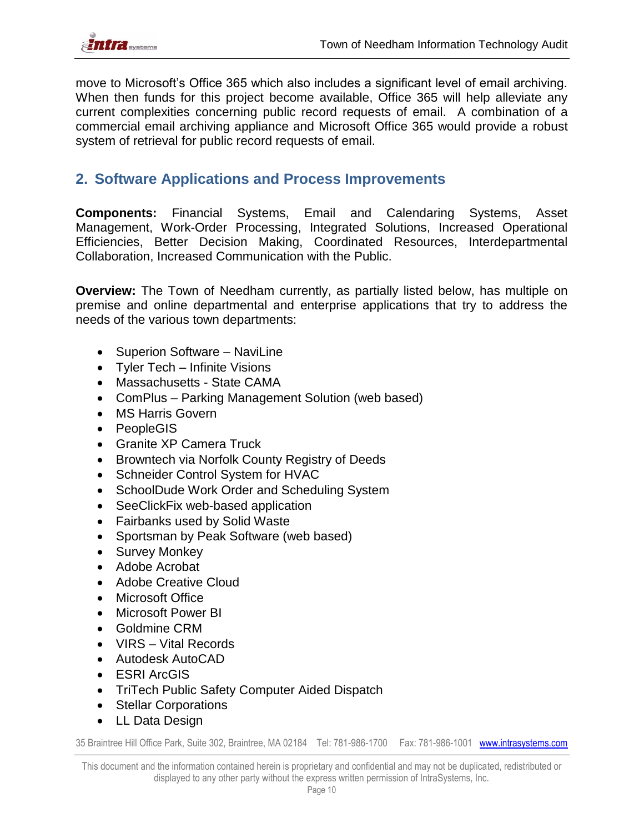

move to Microsoft's Office 365 which also includes a significant level of email archiving. When then funds for this project become available, Office 365 will help alleviate any current complexities concerning public record requests of email. A combination of a commercial email archiving appliance and Microsoft Office 365 would provide a robust system of retrieval for public record requests of email.

### <span id="page-9-0"></span>**2. Software Applications and Process Improvements**

**Components:** Financial Systems, Email and Calendaring Systems, Asset Management, Work-Order Processing, Integrated Solutions, Increased Operational Efficiencies, Better Decision Making, Coordinated Resources, Interdepartmental Collaboration, Increased Communication with the Public.

**Overview:** The Town of Needham currently, as partially listed below, has multiple on premise and online departmental and enterprise applications that try to address the needs of the various town departments:

- Superion Software NaviLine
- Tyler Tech Infinite Visions
- Massachusetts State CAMA
- ComPlus Parking Management Solution (web based)
- MS Harris Govern
- PeopleGIS
- Granite XP Camera Truck
- Browntech via Norfolk County Registry of Deeds
- Schneider Control System for HVAC
- SchoolDude Work Order and Scheduling System
- SeeClickFix web-based application
- Fairbanks used by Solid Waste
- Sportsman by Peak Software (web based)
- Survey Monkey
- Adobe Acrobat
- Adobe Creative Cloud
- Microsoft Office
- Microsoft Power BI
- Goldmine CRM
- VIRS Vital Records
- Autodesk AutoCAD
- ESRI ArcGIS
- TriTech Public Safety Computer Aided Dispatch
- Stellar Corporations
- LL Data Design

35 Braintree Hill Office Park, Suite 302, Braintree, MA 02184 Tel: 781-986-1700 Fax: 781-986-1001 www.intrasystems.com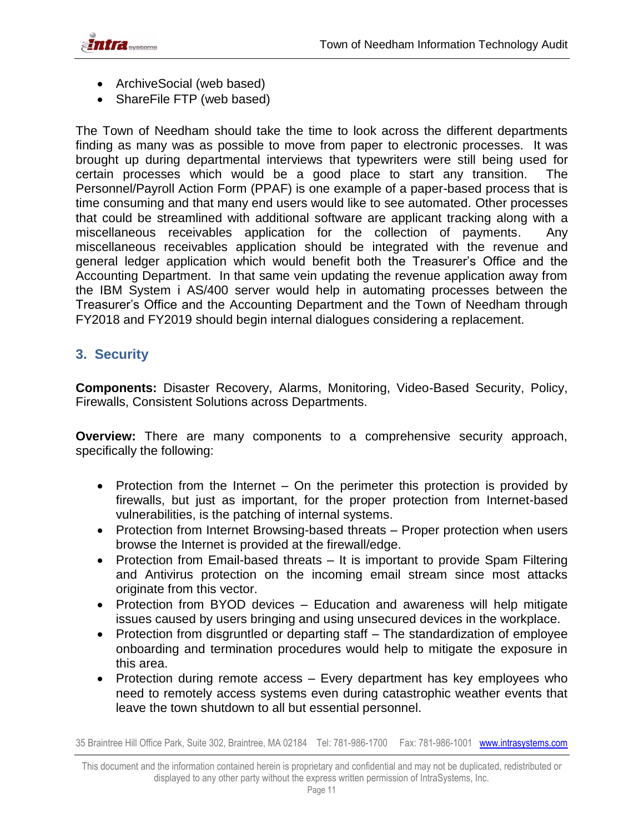

- ArchiveSocial (web based)
- ShareFile FTP (web based)

The Town of Needham should take the time to look across the different departments finding as many was as possible to move from paper to electronic processes. It was brought up during departmental interviews that typewriters were still being used for certain processes which would be a good place to start any transition. The Personnel/Payroll Action Form (PPAF) is one example of a paper-based process that is time consuming and that many end users would like to see automated. Other processes that could be streamlined with additional software are applicant tracking along with a miscellaneous receivables application for the collection of payments. Any miscellaneous receivables application should be integrated with the revenue and general ledger application which would benefit both the Treasurer's Office and the Accounting Department. In that same vein updating the revenue application away from the IBM System i AS/400 server would help in automating processes between the Treasurer's Office and the Accounting Department and the Town of Needham through FY2018 and FY2019 should begin internal dialogues considering a replacement.

### <span id="page-10-0"></span>**3. Security**

**Components:** Disaster Recovery, Alarms, Monitoring, Video-Based Security, Policy, Firewalls, Consistent Solutions across Departments.

**Overview:** There are many components to a comprehensive security approach, specifically the following:

- Protection from the Internet On the perimeter this protection is provided by firewalls, but just as important, for the proper protection from Internet-based vulnerabilities, is the patching of internal systems.
- Protection from Internet Browsing-based threats Proper protection when users browse the Internet is provided at the firewall/edge.
- Protection from Email-based threats It is important to provide Spam Filtering and Antivirus protection on the incoming email stream since most attacks originate from this vector.
- Protection from BYOD devices Education and awareness will help mitigate issues caused by users bringing and using unsecured devices in the workplace.
- Protection from disgruntled or departing staff The standardization of employee onboarding and termination procedures would help to mitigate the exposure in this area.
- Protection during remote access Every department has key employees who need to remotely access systems even during catastrophic weather events that leave the town shutdown to all but essential personnel.

This document and the information contained herein is proprietary and confidential and may not be duplicated, redistributed or displayed to any other party without the express written permission of IntraSystems, Inc.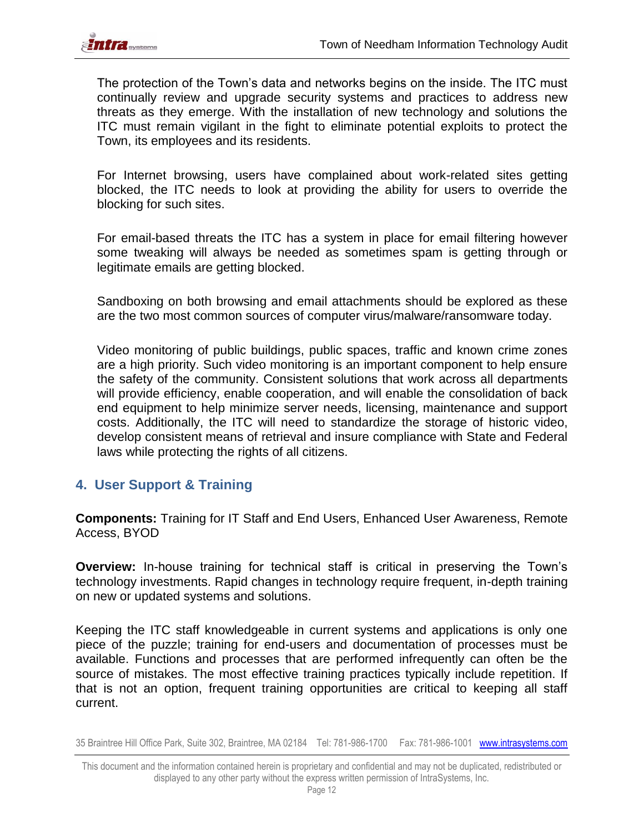

The protection of the Town's data and networks begins on the inside. The ITC must continually review and upgrade security systems and practices to address new threats as they emerge. With the installation of new technology and solutions the ITC must remain vigilant in the fight to eliminate potential exploits to protect the Town, its employees and its residents.

For Internet browsing, users have complained about work-related sites getting blocked, the ITC needs to look at providing the ability for users to override the blocking for such sites.

For email-based threats the ITC has a system in place for email filtering however some tweaking will always be needed as sometimes spam is getting through or legitimate emails are getting blocked.

Sandboxing on both browsing and email attachments should be explored as these are the two most common sources of computer virus/malware/ransomware today.

Video monitoring of public buildings, public spaces, traffic and known crime zones are a high priority. Such video monitoring is an important component to help ensure the safety of the community. Consistent solutions that work across all departments will provide efficiency, enable cooperation, and will enable the consolidation of back end equipment to help minimize server needs, licensing, maintenance and support costs. Additionally, the ITC will need to standardize the storage of historic video, develop consistent means of retrieval and insure compliance with State and Federal laws while protecting the rights of all citizens.

### <span id="page-11-0"></span>**4. User Support & Training**

**Components:** Training for IT Staff and End Users, Enhanced User Awareness, Remote Access, BYOD

**Overview:** In-house training for technical staff is critical in preserving the Town's technology investments. Rapid changes in technology require frequent, in-depth training on new or updated systems and solutions.

Keeping the ITC staff knowledgeable in current systems and applications is only one piece of the puzzle; training for end-users and documentation of processes must be available. Functions and processes that are performed infrequently can often be the source of mistakes. The most effective training practices typically include repetition. If that is not an option, frequent training opportunities are critical to keeping all staff current.

This document and the information contained herein is proprietary and confidential and may not be duplicated, redistributed or displayed to any other party without the express written permission of IntraSystems, Inc.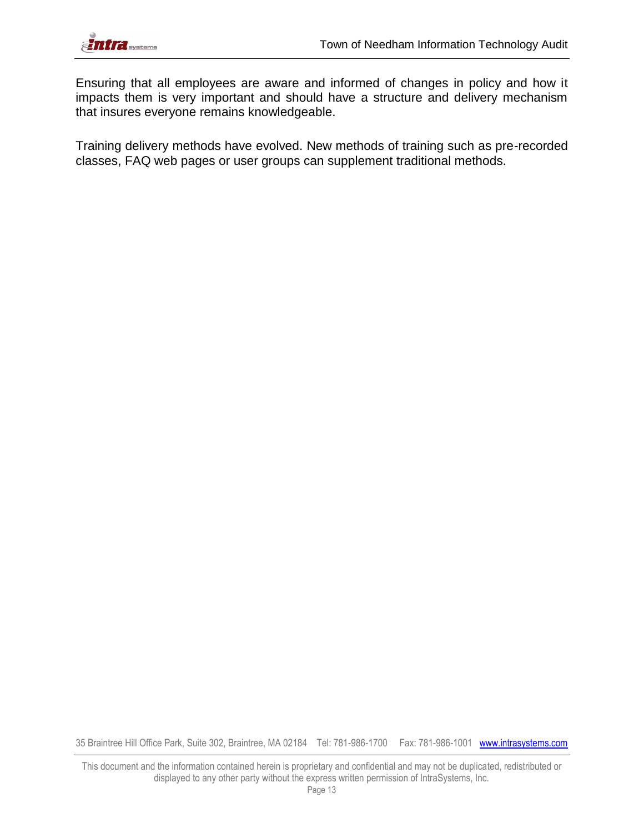

Ensuring that all employees are aware and informed of changes in policy and how it impacts them is very important and should have a structure and delivery mechanism that insures everyone remains knowledgeable.

Training delivery methods have evolved. New methods of training such as pre-recorded classes, FAQ web pages or user groups can supplement traditional methods.

35 Braintree Hill Office Park, Suite 302, Braintree, MA 02184 Tel: 781-986-1700 Fax: 781-986-1001 www.intrasystems.com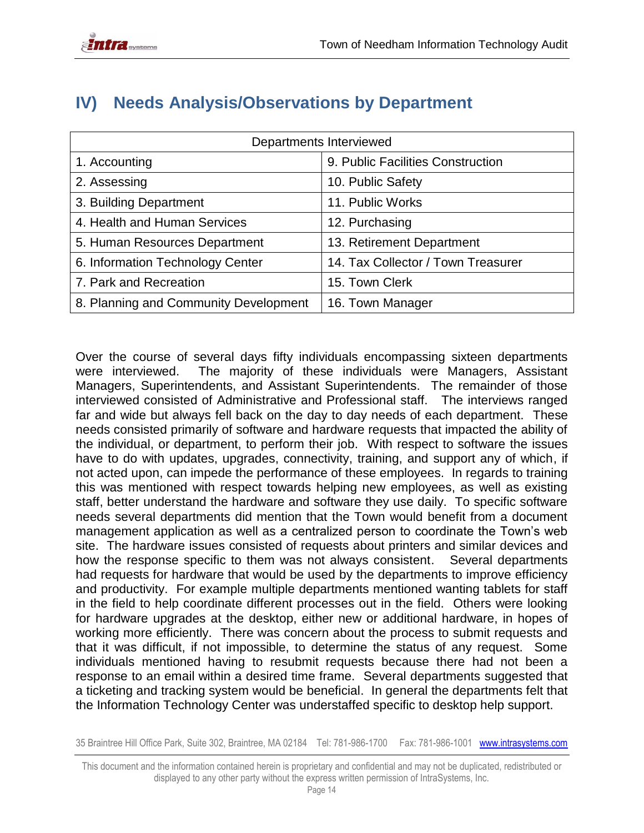|                                       | Departments Interviewed            |
|---------------------------------------|------------------------------------|
| 1. Accounting                         | 9. Public Facilities Construction  |
| 2. Assessing                          | 10. Public Safety                  |
| 3. Building Department                | 11. Public Works                   |
| 4. Health and Human Services          | 12. Purchasing                     |
| 5. Human Resources Department         | 13. Retirement Department          |
| 6. Information Technology Center      | 14. Tax Collector / Town Treasurer |
| 7. Park and Recreation                | 15. Town Clerk                     |
| 8. Planning and Community Development | 16. Town Manager                   |

## <span id="page-13-0"></span>**IV) Needs Analysis/Observations by Department**

Over the course of several days fifty individuals encompassing sixteen departments were interviewed. The majority of these individuals were Managers, Assistant Managers, Superintendents, and Assistant Superintendents. The remainder of those interviewed consisted of Administrative and Professional staff. The interviews ranged far and wide but always fell back on the day to day needs of each department. These needs consisted primarily of software and hardware requests that impacted the ability of the individual, or department, to perform their job. With respect to software the issues have to do with updates, upgrades, connectivity, training, and support any of which, if not acted upon, can impede the performance of these employees. In regards to training this was mentioned with respect towards helping new employees, as well as existing staff, better understand the hardware and software they use daily. To specific software needs several departments did mention that the Town would benefit from a document management application as well as a centralized person to coordinate the Town's web site. The hardware issues consisted of requests about printers and similar devices and how the response specific to them was not always consistent. Several departments had requests for hardware that would be used by the departments to improve efficiency and productivity. For example multiple departments mentioned wanting tablets for staff in the field to help coordinate different processes out in the field. Others were looking for hardware upgrades at the desktop, either new or additional hardware, in hopes of working more efficiently. There was concern about the process to submit requests and that it was difficult, if not impossible, to determine the status of any request. Some individuals mentioned having to resubmit requests because there had not been a response to an email within a desired time frame. Several departments suggested that a ticketing and tracking system would be beneficial. In general the departments felt that the Information Technology Center was understaffed specific to desktop help support.

This document and the information contained herein is proprietary and confidential and may not be duplicated, redistributed or displayed to any other party without the express written permission of IntraSystems, Inc.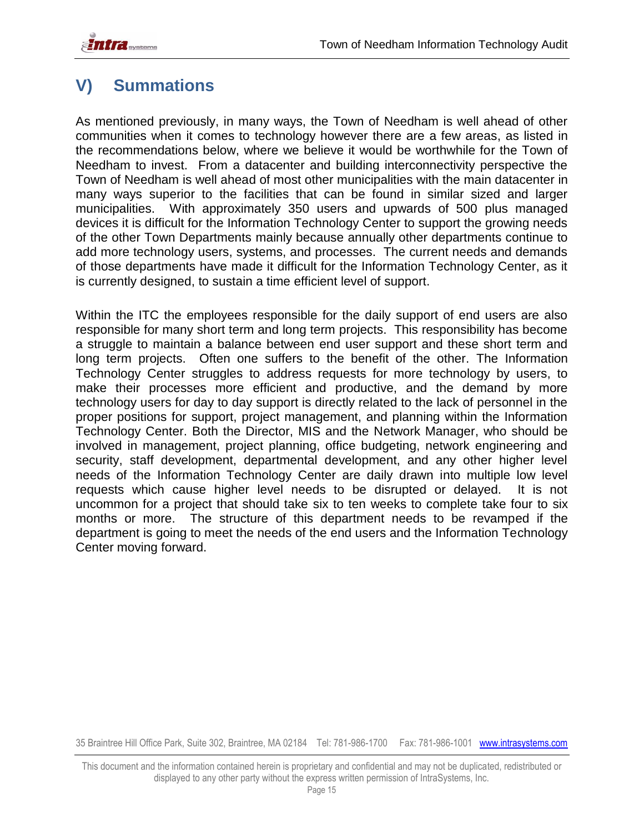**TITLE** systems

## <span id="page-14-0"></span>**V) Summations**

As mentioned previously, in many ways, the Town of Needham is well ahead of other communities when it comes to technology however there are a few areas, as listed in the recommendations below, where we believe it would be worthwhile for the Town of Needham to invest. From a datacenter and building interconnectivity perspective the Town of Needham is well ahead of most other municipalities with the main datacenter in many ways superior to the facilities that can be found in similar sized and larger municipalities. With approximately 350 users and upwards of 500 plus managed devices it is difficult for the Information Technology Center to support the growing needs of the other Town Departments mainly because annually other departments continue to add more technology users, systems, and processes. The current needs and demands of those departments have made it difficult for the Information Technology Center, as it is currently designed, to sustain a time efficient level of support.

Within the ITC the employees responsible for the daily support of end users are also responsible for many short term and long term projects. This responsibility has become a struggle to maintain a balance between end user support and these short term and long term projects. Often one suffers to the benefit of the other. The Information Technology Center struggles to address requests for more technology by users, to make their processes more efficient and productive, and the demand by more technology users for day to day support is directly related to the lack of personnel in the proper positions for support, project management, and planning within the Information Technology Center. Both the Director, MIS and the Network Manager, who should be involved in management, project planning, office budgeting, network engineering and security, staff development, departmental development, and any other higher level needs of the Information Technology Center are daily drawn into multiple low level requests which cause higher level needs to be disrupted or delayed. It is not uncommon for a project that should take six to ten weeks to complete take four to six months or more. The structure of this department needs to be revamped if the department is going to meet the needs of the end users and the Information Technology Center moving forward.

This document and the information contained herein is proprietary and confidential and may not be duplicated, redistributed or displayed to any other party without the express written permission of IntraSystems, Inc.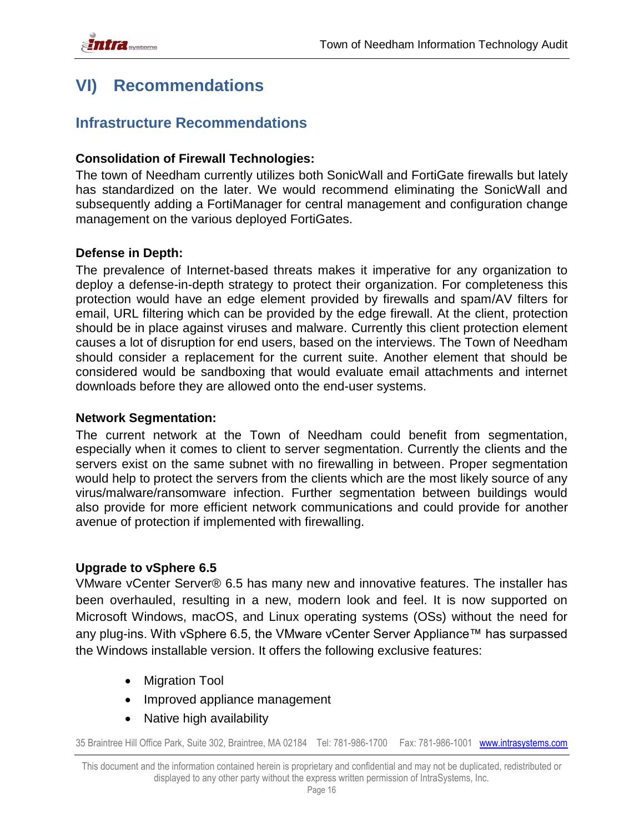## <span id="page-15-0"></span>**VI) Recommendations**

### **Infrastructure Recommendations**

### **Consolidation of Firewall Technologies:**

The town of Needham currently utilizes both SonicWall and FortiGate firewalls but lately has standardized on the later. We would recommend eliminating the SonicWall and subsequently adding a FortiManager for central management and configuration change management on the various deployed FortiGates.

### **Defense in Depth:**

The prevalence of Internet-based threats makes it imperative for any organization to deploy a defense-in-depth strategy to protect their organization. For completeness this protection would have an edge element provided by firewalls and spam/AV filters for email, URL filtering which can be provided by the edge firewall. At the client, protection should be in place against viruses and malware. Currently this client protection element causes a lot of disruption for end users, based on the interviews. The Town of Needham should consider a replacement for the current suite. Another element that should be considered would be sandboxing that would evaluate email attachments and internet downloads before they are allowed onto the end-user systems.

#### **Network Segmentation:**

The current network at the Town of Needham could benefit from segmentation, especially when it comes to client to server segmentation. Currently the clients and the servers exist on the same subnet with no firewalling in between. Proper segmentation would help to protect the servers from the clients which are the most likely source of any virus/malware/ransomware infection. Further segmentation between buildings would also provide for more efficient network communications and could provide for another avenue of protection if implemented with firewalling.

### **Upgrade to vSphere 6.5**

VMware vCenter Server® 6.5 has many new and innovative features. The installer has been overhauled, resulting in a new, modern look and feel. It is now supported on Microsoft Windows, macOS, and Linux operating systems (OSs) without the need for any plug-ins. With vSphere 6.5, the VMware vCenter Server Appliance™ has surpassed the Windows installable version. It offers the following exclusive features:

- Migration Tool
- Improved appliance management
- Native high availability

35 Braintree Hill Office Park, Suite 302, Braintree, MA 02184 Tel: 781-986-1700 Fax: 781-986-1001 www.intrasystems.com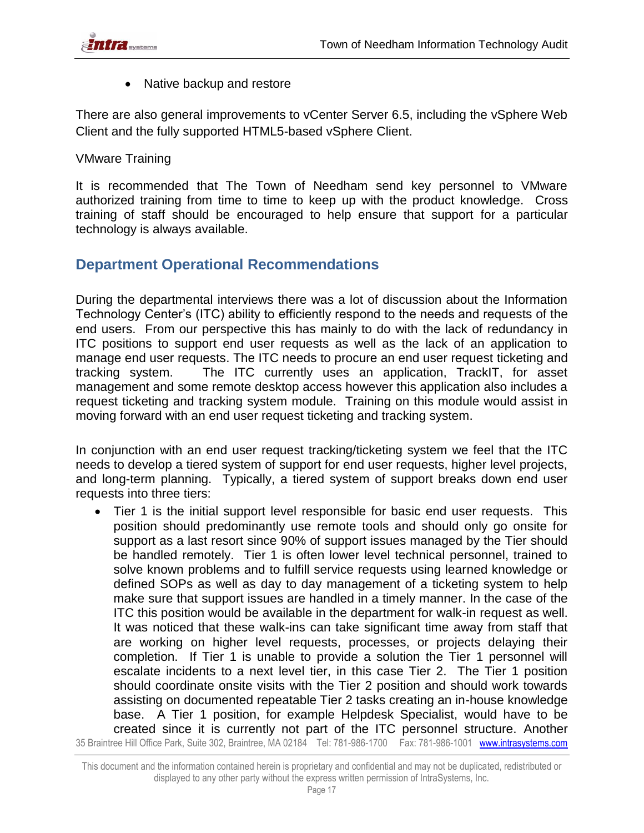

• Native backup and restore

There are also general improvements to vCenter Server 6.5, including the vSphere Web Client and the fully supported HTML5-based vSphere Client.

VMware Training

It is recommended that The Town of Needham send key personnel to VMware authorized training from time to time to keep up with the product knowledge. Cross training of staff should be encouraged to help ensure that support for a particular technology is always available.

### **Department Operational Recommendations**

During the departmental interviews there was a lot of discussion about the Information Technology Center's (ITC) ability to efficiently respond to the needs and requests of the end users. From our perspective this has mainly to do with the lack of redundancy in ITC positions to support end user requests as well as the lack of an application to manage end user requests. The ITC needs to procure an end user request ticketing and tracking system. The ITC currently uses an application, TrackIT, for asset management and some remote desktop access however this application also includes a request ticketing and tracking system module. Training on this module would assist in moving forward with an end user request ticketing and tracking system.

In conjunction with an end user request tracking/ticketing system we feel that the ITC needs to develop a tiered system of support for end user requests, higher level projects, and long-term planning. Typically, a tiered system of support breaks down end user requests into three tiers:

35 Braintree Hill Office Park, Suite 302, Braintree, MA 02184 Tel: 781-986-1700 Fax: 781-986-1001 www.intrasystems.com Tier 1 is the initial support level responsible for basic end user requests. This position should predominantly use remote tools and should only go onsite for support as a last resort since 90% of support issues managed by the Tier should be handled remotely. Tier 1 is often lower level technical personnel, trained to solve known problems and to fulfill service requests using learned knowledge or defined SOPs as well as day to day management of a ticketing system to help make sure that support issues are handled in a timely manner. In the case of the ITC this position would be available in the department for walk-in request as well. It was noticed that these walk-ins can take significant time away from staff that are working on higher level requests, processes, or projects delaying their completion. If Tier 1 is unable to provide a solution the Tier 1 personnel will escalate incidents to a next level tier, in this case Tier 2. The Tier 1 position should coordinate onsite visits with the Tier 2 position and should work towards assisting on documented repeatable Tier 2 tasks creating an in-house knowledge base. A Tier 1 position, for example Helpdesk Specialist, would have to be created since it is currently not part of the ITC personnel structure. Another

This document and the information contained herein is proprietary and confidential and may not be duplicated, redistributed or displayed to any other party without the express written permission of IntraSystems, Inc.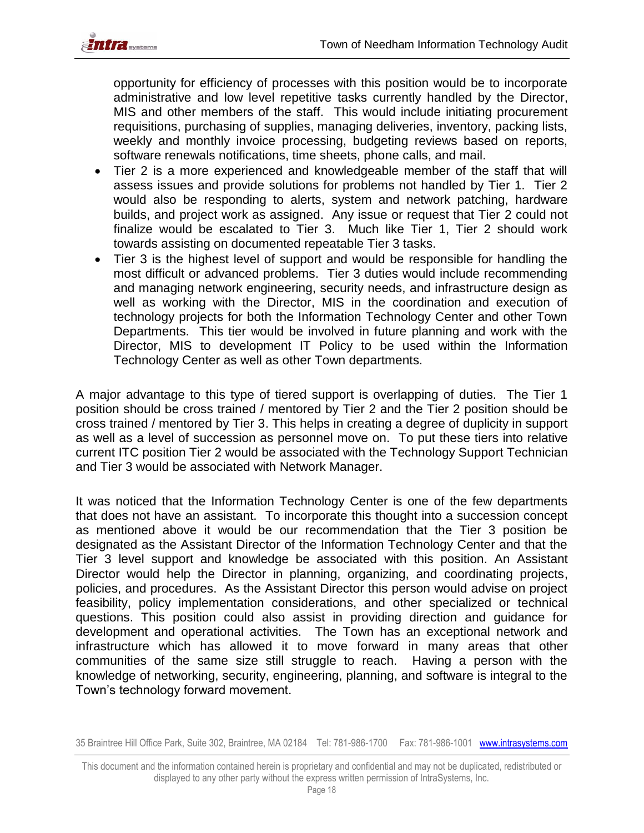

opportunity for efficiency of processes with this position would be to incorporate administrative and low level repetitive tasks currently handled by the Director, MIS and other members of the staff. This would include initiating procurement requisitions, purchasing of supplies, managing deliveries, inventory, packing lists, weekly and monthly invoice processing, budgeting reviews based on reports, software renewals notifications, time sheets, phone calls, and mail.

- Tier 2 is a more experienced and knowledgeable member of the staff that will assess issues and provide solutions for problems not handled by Tier 1. Tier 2 would also be responding to alerts, system and network patching, hardware builds, and project work as assigned. Any issue or request that Tier 2 could not finalize would be escalated to Tier 3. Much like Tier 1, Tier 2 should work towards assisting on documented repeatable Tier 3 tasks.
- Tier 3 is the highest level of support and would be responsible for handling the most difficult or advanced problems. Tier 3 duties would include recommending and managing network engineering, security needs, and infrastructure design as well as working with the Director, MIS in the coordination and execution of technology projects for both the Information Technology Center and other Town Departments. This tier would be involved in future planning and work with the Director, MIS to development IT Policy to be used within the Information Technology Center as well as other Town departments.

A major advantage to this type of tiered support is overlapping of duties. The Tier 1 position should be cross trained / mentored by Tier 2 and the Tier 2 position should be cross trained / mentored by Tier 3. This helps in creating a degree of duplicity in support as well as a level of succession as personnel move on. To put these tiers into relative current ITC position Tier 2 would be associated with the Technology Support Technician and Tier 3 would be associated with Network Manager.

It was noticed that the Information Technology Center is one of the few departments that does not have an assistant. To incorporate this thought into a succession concept as mentioned above it would be our recommendation that the Tier 3 position be designated as the Assistant Director of the Information Technology Center and that the Tier 3 level support and knowledge be associated with this position. An Assistant Director would help the Director in planning, organizing, and coordinating projects, policies, and procedures. As the Assistant Director this person would advise on project feasibility, policy implementation considerations, and other specialized or technical questions. This position could also assist in providing direction and guidance for development and operational activities. The Town has an exceptional network and infrastructure which has allowed it to move forward in many areas that other communities of the same size still struggle to reach. Having a person with the knowledge of networking, security, engineering, planning, and software is integral to the Town's technology forward movement.

This document and the information contained herein is proprietary and confidential and may not be duplicated, redistributed or displayed to any other party without the express written permission of IntraSystems, Inc.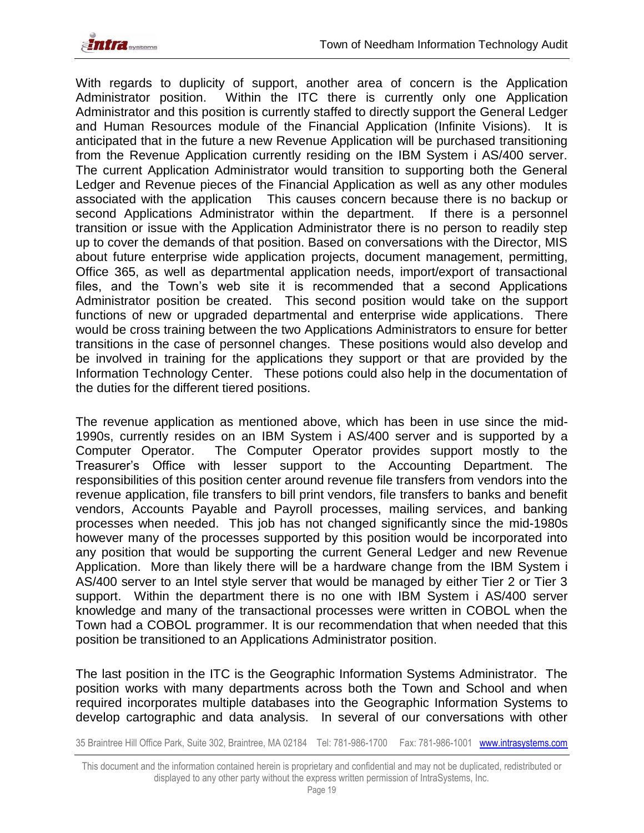**TIME** systems



With regards to duplicity of support, another area of concern is the Application Administrator position. Within the ITC there is currently only one Application Administrator and this position is currently staffed to directly support the General Ledger and Human Resources module of the Financial Application (Infinite Visions). It is anticipated that in the future a new Revenue Application will be purchased transitioning from the Revenue Application currently residing on the IBM System i AS/400 server. The current Application Administrator would transition to supporting both the General Ledger and Revenue pieces of the Financial Application as well as any other modules associated with the application This causes concern because there is no backup or second Applications Administrator within the department. If there is a personnel transition or issue with the Application Administrator there is no person to readily step up to cover the demands of that position. Based on conversations with the Director, MIS about future enterprise wide application projects, document management, permitting, Office 365, as well as departmental application needs, import/export of transactional files, and the Town's web site it is recommended that a second Applications Administrator position be created. This second position would take on the support functions of new or upgraded departmental and enterprise wide applications. There would be cross training between the two Applications Administrators to ensure for better transitions in the case of personnel changes. These positions would also develop and be involved in training for the applications they support or that are provided by the Information Technology Center. These potions could also help in the documentation of the duties for the different tiered positions.

The revenue application as mentioned above, which has been in use since the mid-1990s, currently resides on an IBM System i AS/400 server and is supported by a Computer Operator. The Computer Operator provides support mostly to the Treasurer's Office with lesser support to the Accounting Department. The responsibilities of this position center around revenue file transfers from vendors into the revenue application, file transfers to bill print vendors, file transfers to banks and benefit vendors, Accounts Payable and Payroll processes, mailing services, and banking processes when needed. This job has not changed significantly since the mid-1980s however many of the processes supported by this position would be incorporated into any position that would be supporting the current General Ledger and new Revenue Application. More than likely there will be a hardware change from the IBM System i AS/400 server to an Intel style server that would be managed by either Tier 2 or Tier 3 support. Within the department there is no one with IBM System i AS/400 server knowledge and many of the transactional processes were written in COBOL when the Town had a COBOL programmer. It is our recommendation that when needed that this position be transitioned to an Applications Administrator position.

The last position in the ITC is the Geographic Information Systems Administrator. The position works with many departments across both the Town and School and when required incorporates multiple databases into the Geographic Information Systems to develop cartographic and data analysis. In several of our conversations with other

This document and the information contained herein is proprietary and confidential and may not be duplicated, redistributed or displayed to any other party without the express written permission of IntraSystems, Inc.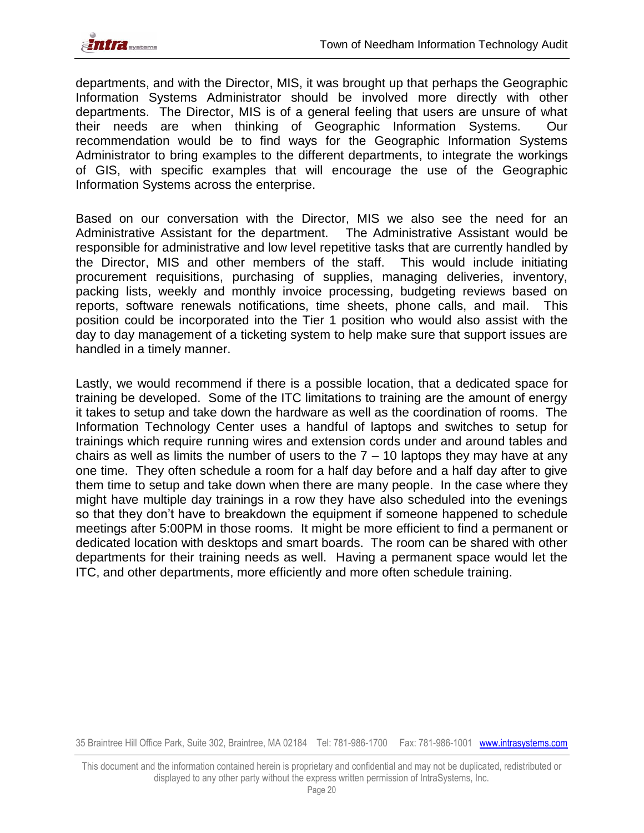

departments, and with the Director, MIS, it was brought up that perhaps the Geographic Information Systems Administrator should be involved more directly with other departments. The Director, MIS is of a general feeling that users are unsure of what their needs are when thinking of Geographic Information Systems. Our recommendation would be to find ways for the Geographic Information Systems Administrator to bring examples to the different departments, to integrate the workings of GIS, with specific examples that will encourage the use of the Geographic Information Systems across the enterprise.

Based on our conversation with the Director, MIS we also see the need for an Administrative Assistant for the department. The Administrative Assistant would be responsible for administrative and low level repetitive tasks that are currently handled by the Director, MIS and other members of the staff. This would include initiating procurement requisitions, purchasing of supplies, managing deliveries, inventory, packing lists, weekly and monthly invoice processing, budgeting reviews based on reports, software renewals notifications, time sheets, phone calls, and mail. This position could be incorporated into the Tier 1 position who would also assist with the day to day management of a ticketing system to help make sure that support issues are handled in a timely manner.

Lastly, we would recommend if there is a possible location, that a dedicated space for training be developed. Some of the ITC limitations to training are the amount of energy it takes to setup and take down the hardware as well as the coordination of rooms. The Information Technology Center uses a handful of laptops and switches to setup for trainings which require running wires and extension cords under and around tables and chairs as well as limits the number of users to the  $7 - 10$  laptops they may have at any one time. They often schedule a room for a half day before and a half day after to give them time to setup and take down when there are many people. In the case where they might have multiple day trainings in a row they have also scheduled into the evenings so that they don't have to breakdown the equipment if someone happened to schedule meetings after 5:00PM in those rooms. It might be more efficient to find a permanent or dedicated location with desktops and smart boards. The room can be shared with other departments for their training needs as well. Having a permanent space would let the ITC, and other departments, more efficiently and more often schedule training.

This document and the information contained herein is proprietary and confidential and may not be duplicated, redistributed or displayed to any other party without the express written permission of IntraSystems, Inc.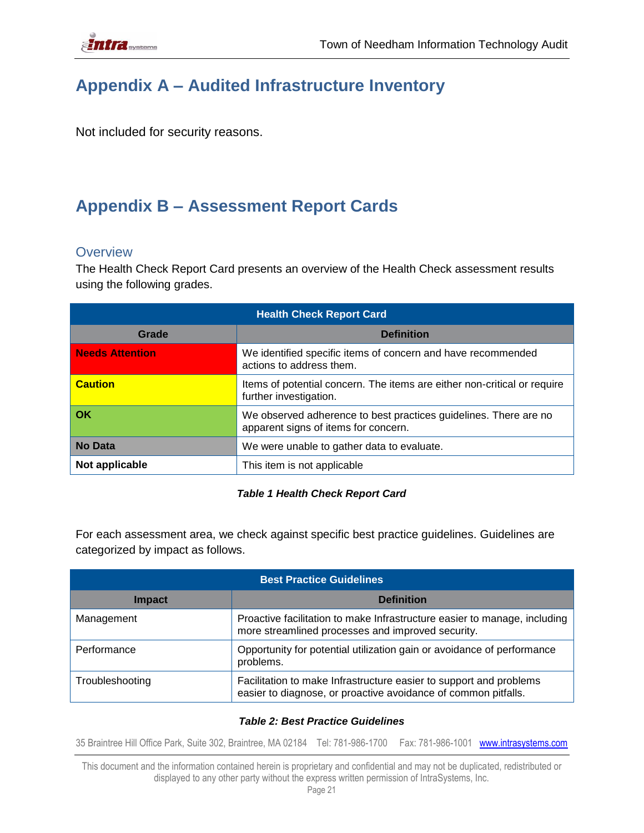

## <span id="page-20-0"></span>**Appendix A – Audited Infrastructure Inventory**

Not included for security reasons.

## <span id="page-20-1"></span>**Appendix B – Assessment Report Cards**

#### <span id="page-20-2"></span>**Overview**

The Health Check Report Card presents an overview of the Health Check assessment results using the following grades.

| <b>Health Check Report Card</b> |                                                                                                          |  |  |
|---------------------------------|----------------------------------------------------------------------------------------------------------|--|--|
| Grade                           | <b>Definition</b>                                                                                        |  |  |
| <b>Needs Attention</b>          | We identified specific items of concern and have recommended<br>actions to address them.                 |  |  |
| <b>Caution</b>                  | Items of potential concern. The items are either non-critical or require<br>further investigation.       |  |  |
| OK                              | We observed adherence to best practices guidelines. There are no<br>apparent signs of items for concern. |  |  |
| <b>No Data</b>                  | We were unable to gather data to evaluate.                                                               |  |  |
| Not applicable                  | This item is not applicable                                                                              |  |  |

#### *Table 1 Health Check Report Card*

For each assessment area, we check against specific best practice guidelines. Guidelines are categorized by impact as follows.

| <b>Best Practice Guidelines</b> |                                                                                                                                      |  |  |
|---------------------------------|--------------------------------------------------------------------------------------------------------------------------------------|--|--|
| <b>Impact</b>                   | <b>Definition</b>                                                                                                                    |  |  |
| Management                      | Proactive facilitation to make Infrastructure easier to manage, including<br>more streamlined processes and improved security.       |  |  |
| Performance                     | Opportunity for potential utilization gain or avoidance of performance<br>problems.                                                  |  |  |
| Troubleshooting                 | Facilitation to make Infrastructure easier to support and problems<br>easier to diagnose, or proactive avoidance of common pitfalls. |  |  |

#### *Table 2: Best Practice Guidelines*

35 Braintree Hill Office Park, Suite 302, Braintree, MA 02184 Tel: 781-986-1700 Fax: 781-986-1001 www.intrasystems.com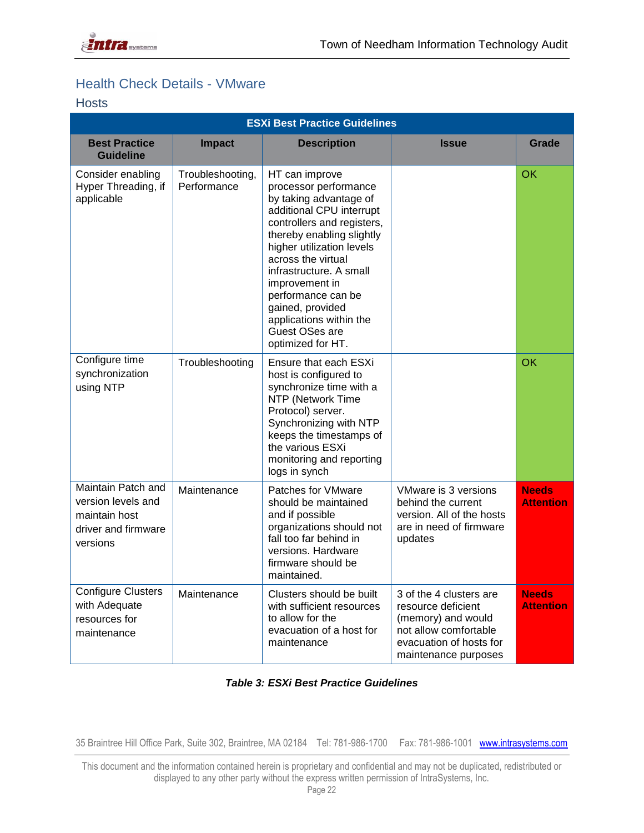### <span id="page-21-0"></span>Health Check Details - VMware

#### <span id="page-21-1"></span>Hosts

|                                                                                              | <b>ESXi Best Practice Guidelines</b> |                                                                                                                                                                                                                                                                                                                                                                      |                                                                                                                                                 |                                  |  |
|----------------------------------------------------------------------------------------------|--------------------------------------|----------------------------------------------------------------------------------------------------------------------------------------------------------------------------------------------------------------------------------------------------------------------------------------------------------------------------------------------------------------------|-------------------------------------------------------------------------------------------------------------------------------------------------|----------------------------------|--|
| <b>Best Practice</b><br><b>Guideline</b>                                                     | <b>Impact</b>                        | <b>Description</b>                                                                                                                                                                                                                                                                                                                                                   | <b>Issue</b>                                                                                                                                    | Grade                            |  |
| Consider enabling<br>Hyper Threading, if<br>applicable                                       | Troubleshooting,<br>Performance      | HT can improve<br>processor performance<br>by taking advantage of<br>additional CPU interrupt<br>controllers and registers,<br>thereby enabling slightly<br>higher utilization levels<br>across the virtual<br>infrastructure. A small<br>improvement in<br>performance can be<br>gained, provided<br>applications within the<br>Guest OSes are<br>optimized for HT. |                                                                                                                                                 | OK                               |  |
| Configure time<br>synchronization<br>using NTP                                               | Troubleshooting                      | Ensure that each ESXi<br>host is configured to<br>synchronize time with a<br>NTP (Network Time<br>Protocol) server.<br>Synchronizing with NTP<br>keeps the timestamps of<br>the various ESXi<br>monitoring and reporting<br>logs in synch                                                                                                                            |                                                                                                                                                 | <b>OK</b>                        |  |
| Maintain Patch and<br>version levels and<br>maintain host<br>driver and firmware<br>versions | Maintenance                          | Patches for VMware<br>should be maintained<br>and if possible<br>organizations should not<br>fall too far behind in<br>versions. Hardware<br>firmware should be<br>maintained.                                                                                                                                                                                       | VMware is 3 versions<br>behind the current<br>version. All of the hosts<br>are in need of firmware<br>updates                                   | <b>Needs</b><br><b>Attention</b> |  |
| <b>Configure Clusters</b><br>with Adequate<br>resources for<br>maintenance                   | Maintenance                          | Clusters should be built<br>with sufficient resources<br>to allow for the<br>evacuation of a host for<br>maintenance                                                                                                                                                                                                                                                 | 3 of the 4 clusters are<br>resource deficient<br>(memory) and would<br>not allow comfortable<br>evacuation of hosts for<br>maintenance purposes | <b>Needs</b><br><b>Attention</b> |  |

#### *Table 3: ESXi Best Practice Guidelines*

35 Braintree Hill Office Park, Suite 302, Braintree, MA 02184 Tel: 781-986-1700 Fax: 781-986-1001 www.intrasystems.com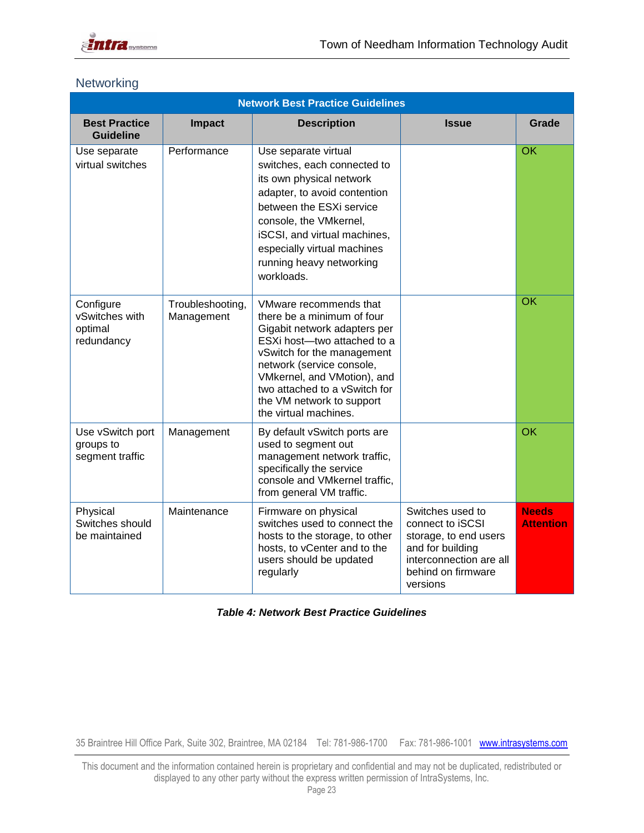

|                                                      | <b>Network Best Practice Guidelines</b> |                                                                                                                                                                                                                                                                                                      |                                                                                                                                                |                                  |  |
|------------------------------------------------------|-----------------------------------------|------------------------------------------------------------------------------------------------------------------------------------------------------------------------------------------------------------------------------------------------------------------------------------------------------|------------------------------------------------------------------------------------------------------------------------------------------------|----------------------------------|--|
| <b>Best Practice</b><br><b>Guideline</b>             | <b>Impact</b>                           | <b>Description</b>                                                                                                                                                                                                                                                                                   | <b>Issue</b>                                                                                                                                   | Grade                            |  |
| Use separate<br>virtual switches                     | Performance                             | Use separate virtual<br>switches, each connected to<br>its own physical network<br>adapter, to avoid contention<br>between the ESXi service<br>console, the VMkernel,<br>iSCSI, and virtual machines,<br>especially virtual machines<br>running heavy networking<br>workloads.                       |                                                                                                                                                | OK                               |  |
| Configure<br>vSwitches with<br>optimal<br>redundancy | Troubleshooting,<br>Management          | VMware recommends that<br>there be a minimum of four<br>Gigabit network adapters per<br>ESXi host-two attached to a<br>vSwitch for the management<br>network (service console,<br>VMkernel, and VMotion), and<br>two attached to a vSwitch for<br>the VM network to support<br>the virtual machines. |                                                                                                                                                | $\overline{\text{OK}}$           |  |
| Use vSwitch port<br>groups to<br>segment traffic     | Management                              | By default vSwitch ports are<br>used to segment out<br>management network traffic,<br>specifically the service<br>console and VMkernel traffic,<br>from general VM traffic.                                                                                                                          |                                                                                                                                                | OK                               |  |
| Physical<br>Switches should<br>be maintained         | Maintenance                             | Firmware on physical<br>switches used to connect the<br>hosts to the storage, to other<br>hosts, to vCenter and to the<br>users should be updated<br>regularly                                                                                                                                       | Switches used to<br>connect to iSCSI<br>storage, to end users<br>and for building<br>interconnection are all<br>behind on firmware<br>versions | <b>Needs</b><br><b>Attention</b> |  |

### <span id="page-22-0"></span>**Networking**

#### *Table 4: Network Best Practice Guidelines*

35 Braintree Hill Office Park, Suite 302, Braintree, MA 02184 Tel: 781-986-1700 Fax: 781-986-1001 www.intrasystems.com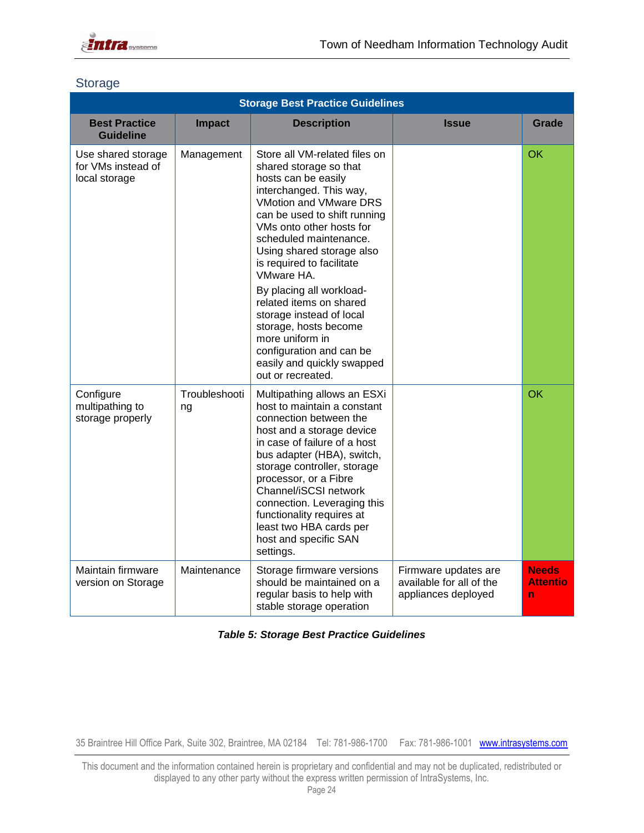

#### <span id="page-23-0"></span>**Storage**

| <b>Storage Best Practice Guidelines</b>                   |                     |                                                                                                                                                                                                                                                                                                                                                                                                                                                                                                                 |                                                                         |                               |
|-----------------------------------------------------------|---------------------|-----------------------------------------------------------------------------------------------------------------------------------------------------------------------------------------------------------------------------------------------------------------------------------------------------------------------------------------------------------------------------------------------------------------------------------------------------------------------------------------------------------------|-------------------------------------------------------------------------|-------------------------------|
| <b>Best Practice</b><br><b>Guideline</b>                  | <b>Impact</b>       | <b>Description</b>                                                                                                                                                                                                                                                                                                                                                                                                                                                                                              | <b>Issue</b>                                                            | Grade                         |
| Use shared storage<br>for VMs instead of<br>local storage | Management          | Store all VM-related files on<br>shared storage so that<br>hosts can be easily<br>interchanged. This way,<br>VMotion and VMware DRS<br>can be used to shift running<br>VMs onto other hosts for<br>scheduled maintenance.<br>Using shared storage also<br>is required to facilitate<br>VMware HA.<br>By placing all workload-<br>related items on shared<br>storage instead of local<br>storage, hosts become<br>more uniform in<br>configuration and can be<br>easily and quickly swapped<br>out or recreated. |                                                                         | OK                            |
| Configure<br>multipathing to<br>storage properly          | Troubleshooti<br>ng | Multipathing allows an ESXi<br>host to maintain a constant<br>connection between the<br>host and a storage device<br>in case of failure of a host<br>bus adapter (HBA), switch,<br>storage controller, storage<br>processor, or a Fibre<br>Channel/iSCSI network<br>connection. Leveraging this<br>functionality requires at<br>least two HBA cards per<br>host and specific SAN<br>settings.                                                                                                                   |                                                                         | OK                            |
| Maintain firmware<br>version on Storage                   | Maintenance         | Storage firmware versions<br>should be maintained on a<br>regular basis to help with<br>stable storage operation                                                                                                                                                                                                                                                                                                                                                                                                | Firmware updates are<br>available for all of the<br>appliances deployed | <b>Needs</b><br>Attentio<br>n |

*Table 5: Storage Best Practice Guidelines*

35 Braintree Hill Office Park, Suite 302, Braintree, MA 02184 Tel: 781-986-1700 Fax: 781-986-1001 www.intrasystems.com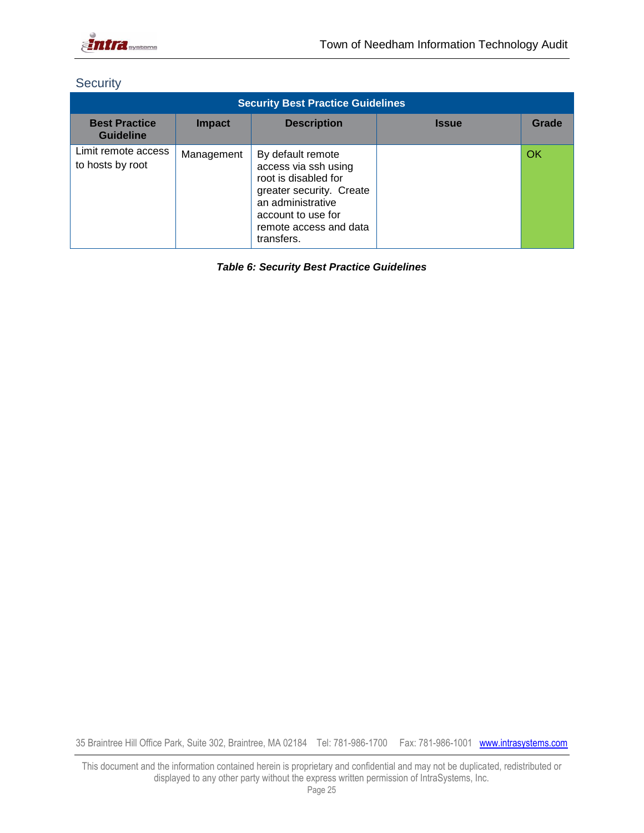

### <span id="page-24-0"></span>**Security**

| <b>Security Best Practice Guidelines</b> |               |                                                                                                                                                                                  |              |       |  |
|------------------------------------------|---------------|----------------------------------------------------------------------------------------------------------------------------------------------------------------------------------|--------------|-------|--|
| <b>Best Practice</b><br><b>Guideline</b> | <b>Impact</b> | <b>Description</b>                                                                                                                                                               | <b>Issue</b> | Grade |  |
| Limit remote access<br>to hosts by root  | Management    | By default remote<br>access via ssh using<br>root is disabled for<br>greater security. Create<br>an administrative<br>account to use for<br>remote access and data<br>transfers. |              | OK    |  |

*Table 6: Security Best Practice Guidelines*

35 Braintree Hill Office Park, Suite 302, Braintree, MA 02184 Tel: 781-986-1700 Fax: 781-986-1001 www.intrasystems.com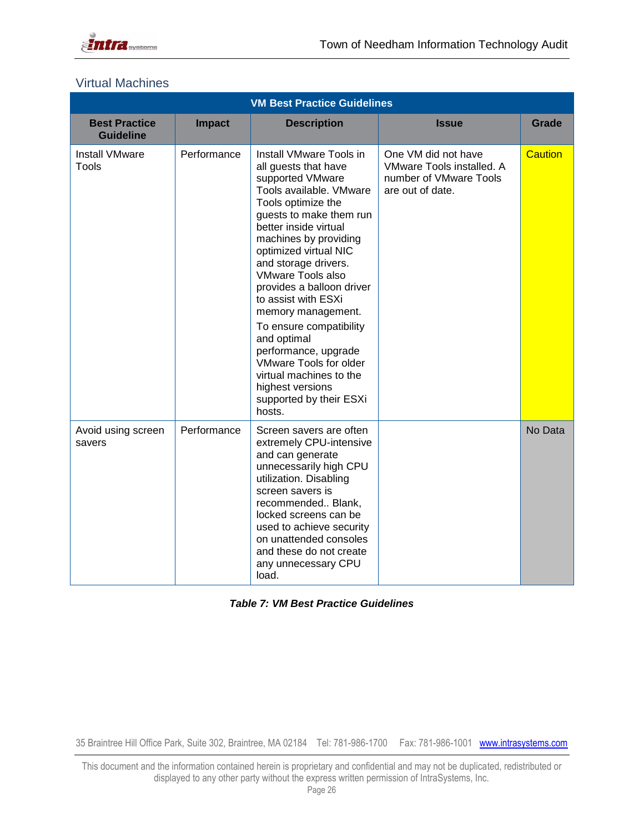

#### <span id="page-25-0"></span>Virtual Machines

| <b>VM Best Practice Guidelines</b>       |               |                                                                                                                                                                                                                                                                                                                                                                                                                                                                                                                                          |                                                                                                |                |  |
|------------------------------------------|---------------|------------------------------------------------------------------------------------------------------------------------------------------------------------------------------------------------------------------------------------------------------------------------------------------------------------------------------------------------------------------------------------------------------------------------------------------------------------------------------------------------------------------------------------------|------------------------------------------------------------------------------------------------|----------------|--|
| <b>Best Practice</b><br><b>Guideline</b> | <b>Impact</b> | <b>Description</b>                                                                                                                                                                                                                                                                                                                                                                                                                                                                                                                       | <b>Issue</b>                                                                                   | Grade          |  |
| <b>Install VMware</b><br>Tools           | Performance   | Install VMware Tools in<br>all guests that have<br>supported VMware<br>Tools available. VMware<br>Tools optimize the<br>guests to make them run<br>better inside virtual<br>machines by providing<br>optimized virtual NIC<br>and storage drivers.<br><b>VMware Tools also</b><br>provides a balloon driver<br>to assist with ESXi<br>memory management.<br>To ensure compatibility<br>and optimal<br>performance, upgrade<br>VMware Tools for older<br>virtual machines to the<br>highest versions<br>supported by their ESXi<br>hosts. | One VM did not have<br>VMware Tools installed. A<br>number of VMware Tools<br>are out of date. | <b>Caution</b> |  |
| Avoid using screen<br>savers             | Performance   | Screen savers are often<br>extremely CPU-intensive<br>and can generate<br>unnecessarily high CPU<br>utilization. Disabling<br>screen savers is<br>recommended Blank,<br>locked screens can be<br>used to achieve security<br>on unattended consoles<br>and these do not create<br>any unnecessary CPU<br>load.                                                                                                                                                                                                                           |                                                                                                | No Data        |  |

*Table 7: VM Best Practice Guidelines*

35 Braintree Hill Office Park, Suite 302, Braintree, MA 02184 Tel: 781-986-1700 Fax: 781-986-1001 www.intrasystems.com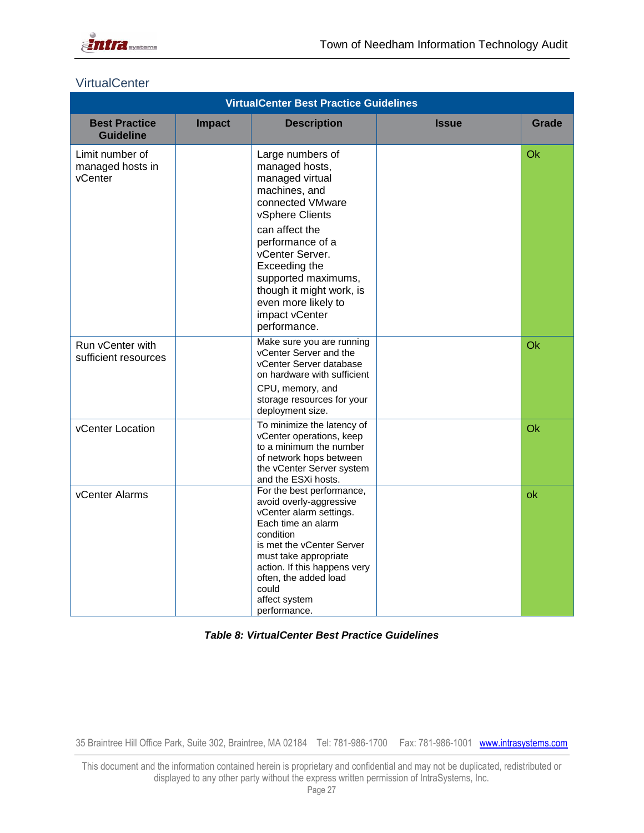

#### <span id="page-26-0"></span>**VirtualCenter**

|                                                | <b>VirtualCenter Best Practice Guidelines</b> |                                                                                                                                                                                                                                                                                                     |              |       |  |
|------------------------------------------------|-----------------------------------------------|-----------------------------------------------------------------------------------------------------------------------------------------------------------------------------------------------------------------------------------------------------------------------------------------------------|--------------|-------|--|
| <b>Best Practice</b><br><b>Guideline</b>       | <b>Impact</b>                                 | <b>Description</b>                                                                                                                                                                                                                                                                                  | <b>Issue</b> | Grade |  |
| Limit number of<br>managed hosts in<br>vCenter |                                               | Large numbers of<br>managed hosts,<br>managed virtual<br>machines, and<br>connected VMware<br>vSphere Clients<br>can affect the<br>performance of a<br>vCenter Server.<br>Exceeding the<br>supported maximums,<br>though it might work, is<br>even more likely to<br>impact vCenter<br>performance. |              | Ok    |  |
| Run vCenter with<br>sufficient resources       |                                               | Make sure you are running<br>vCenter Server and the<br>vCenter Server database<br>on hardware with sufficient<br>CPU, memory, and<br>storage resources for your<br>deployment size.                                                                                                                 |              | Ok    |  |
| vCenter Location                               |                                               | To minimize the latency of<br>vCenter operations, keep<br>to a minimum the number<br>of network hops between<br>the vCenter Server system<br>and the ESXi hosts.                                                                                                                                    |              | Ok    |  |
| vCenter Alarms                                 |                                               | For the best performance,<br>avoid overly-aggressive<br>vCenter alarm settings.<br>Each time an alarm<br>condition<br>is met the vCenter Server<br>must take appropriate<br>action. If this happens very<br>often, the added load<br>could<br>affect system<br>performance.                         |              | ok    |  |

*Table 8: VirtualCenter Best Practice Guidelines*

35 Braintree Hill Office Park, Suite 302, Braintree, MA 02184 Tel: 781-986-1700 Fax: 781-986-1001 www.intrasystems.com